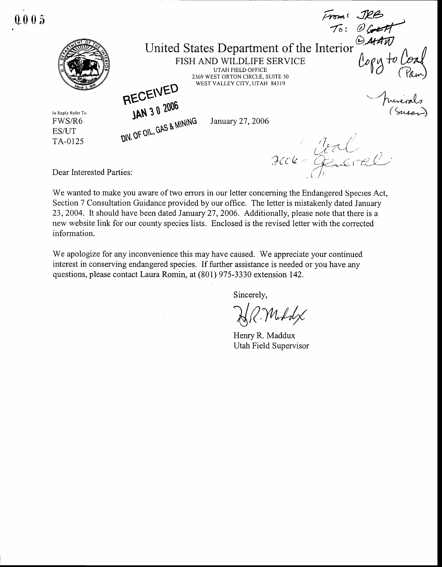From: JRB<br>To: OGHA  $1005$ United States Department of the Interior  $logy$  to FISH AND WILDLIFE SERVICE **UTAH FIELD OFFICE** 2369 WEST ORTON CIRCLE, SUITE 50 RECEIVED WEST VALLEY CITY, UTAH 84119 Municals<br>(Sousan JAN 30 2006 In Reply Refer To DIV. OF OIL, GAS & MINING FWS/R6 January 27, 2006 ES/UT TA-0125 scon-General

Dear Interested Parties:

We wanted to make you aware of two errors in our letter concerning the Endangered Species Act, Section 7 Consultation Guidance provided by our office. The letter is mistakenly dated January 23, 2004. It should have been dated January 27, 2006. Additionally, please note that there is a new website link for our county species lists. Enclosed is the revised letter with the corrected information.

We apologize for any inconvenience this may have caused. We appreciate your continued interest in conserving endangered species. If further assistance is needed or you have any questions, please contact Laura Romin, at (801) 975-3330 extension 142.

Sincerely,

HR.Moddx

Henry R. Maddux Utah Field Supervisor